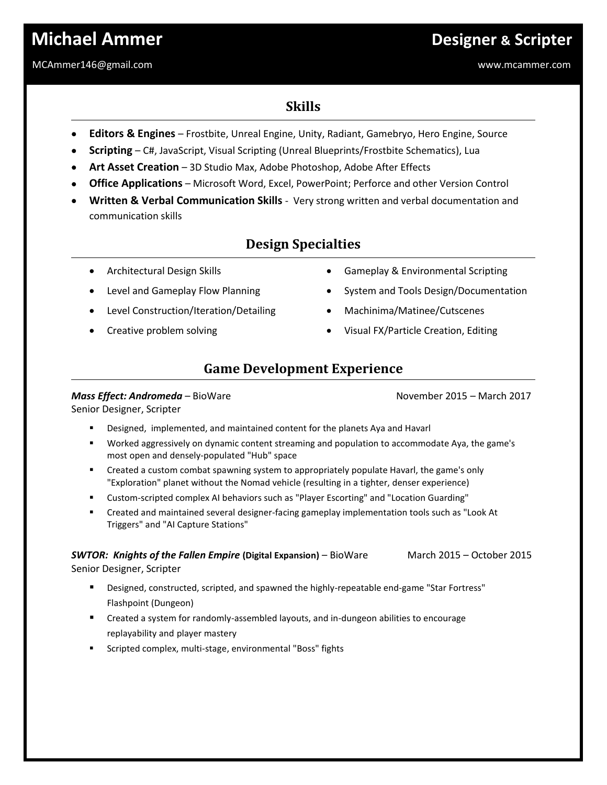# **Michael Ammer Designer & Scripter**

#### MCAmmer146@gmail.com www.mcammer.com

## **Skills**

- **Editors & Engines**  Frostbite, Unreal Engine, Unity, Radiant, Gamebryo, Hero Engine, Source
- **Scripting** C#, JavaScript, Visual Scripting (Unreal Blueprints/Frostbite Schematics), Lua
- **Art Asset Creation** 3D Studio Max, Adobe Photoshop, Adobe After Effects
- **Office Applications** Microsoft Word, Excel, PowerPoint; Perforce and other Version Control
- **Written & Verbal Communication Skills** Very strong written and verbal documentation and communication skills

## **Design Specialties**

- Architectural Design Skills
- Level and Gameplay Flow Planning
- Level Construction/Iteration/Detailing
- Creative problem solving
- Gameplay & Environmental Scripting
- System and Tools Design/Documentation
- Machinima/Matinee/Cutscenes
- Visual FX/Particle Creation, Editing

## **Game Development Experience**

#### **Mass Effect: Andromeda** – BioWare November 2015 – March 2017

Senior Designer, Scripter

- Designed, implemented, and maintained content for the planets Aya and Havarl
- Worked aggressively on dynamic content streaming and population to accommodate Aya, the game's most open and densely-populated "Hub" space
- Created a custom combat spawning system to appropriately populate Havarl, the game's only "Exploration" planet without the Nomad vehicle (resulting in a tighter, denser experience)
- Custom-scripted complex AI behaviors such as "Player Escorting" and "Location Guarding"
- Created and maintained several designer-facing gameplay implementation tools such as "Look At Triggers" and "AI Capture Stations"

**SWTOR: Knights of the Fallen Empire (Digital Expansion)** – BioWare March 2015 – October 2015 Senior Designer, Scripter

- Designed, constructed, scripted, and spawned the highly-repeatable end-game "Star Fortress" Flashpoint (Dungeon)
- Created a system for randomly-assembled layouts, and in-dungeon abilities to encourage replayability and player mastery
- Scripted complex, multi-stage, environmental "Boss" fights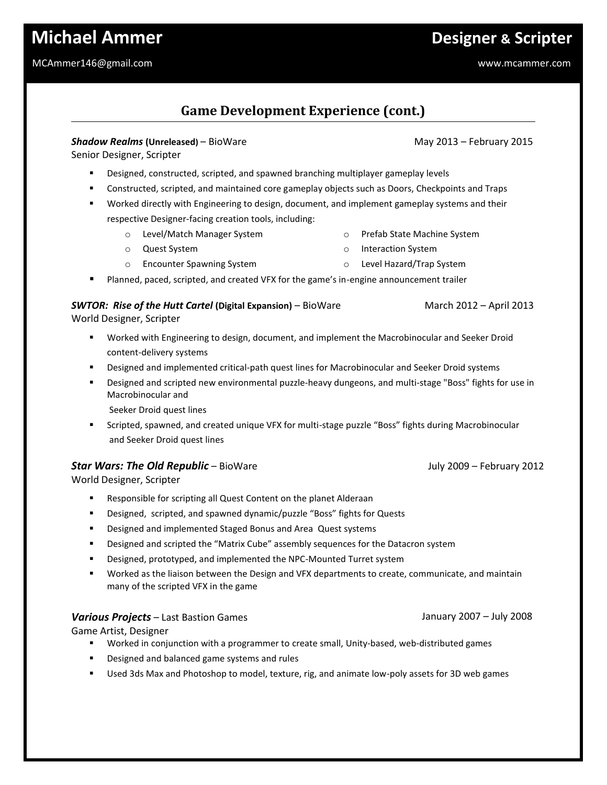# **Michael Ammer Designer & Scripter**

#### MCAmmer146@gmail.com www.mcammer.com

## **Game Development Experience (cont.)**

#### **Shadow Realms (Unreleased)** – BioWare **Manual Construction May 2013** – February 2015

Senior Designer, Scripter

- Designed, constructed, scripted, and spawned branching multiplayer gameplay levels
- Constructed, scripted, and maintained core gameplay objects such as Doors, Checkpoints and Traps
- Worked directly with Engineering to design, document, and implement gameplay systems and their respective Designer-facing creation tools, including:
	- o Level/Match Manager System o Prefab State Machine System
	- o Quest System o Interaction System
	- o Encounter Spawning System
- Planned, paced, scripted, and created VFX for the game's in-engine announcement trailer

### **SWTOR: Rise of the Hutt Cartel (Digital Expansion)** – BioWare March 2012 – April 2013

World Designer, Scripter

- Worked with Engineering to design, document, and implement the Macrobinocular and Seeker Droid content-delivery systems
- **•** Designed and implemented critical-path quest lines for Macrobinocular and Seeker Droid systems
- Designed and scripted new environmental puzzle-heavy dungeons, and multi-stage "Boss" fights for use in Macrobinocular and

Seeker Droid quest lines

 Scripted, spawned, and created unique VFX for multi-stage puzzle "Boss" fights during Macrobinocular and Seeker Droid quest lines

#### **Star Wars: The Old Republic** – BioWare **July 2009 – February 2012**

World Designer, Scripter

- Responsible for scripting all Quest Content on the planet Alderaan
- Designed, scripted, and spawned dynamic/puzzle "Boss" fights for Quests
- Designed and implemented Staged Bonus and Area Quest systems
- **Designed and scripted the "Matrix Cube" assembly sequences for the Datacron system**
- **•** Designed, prototyped, and implemented the NPC-Mounted Turret system
- Worked as the liaison between the Design and VFX departments to create, communicate, and maintain many of the scripted VFX in the game

#### *Various Projects* – Last Bastion Games

Game Artist, Designer

- Worked in conjunction with a programmer to create small, Unity-based, web-distributed games
- Designed and balanced game systems and rules
- Used 3ds Max and Photoshop to model, texture, rig, and animate low-poly assets for 3D web games

January 2007 – July 2008

- 
- o Level Hazard/Trap System
-